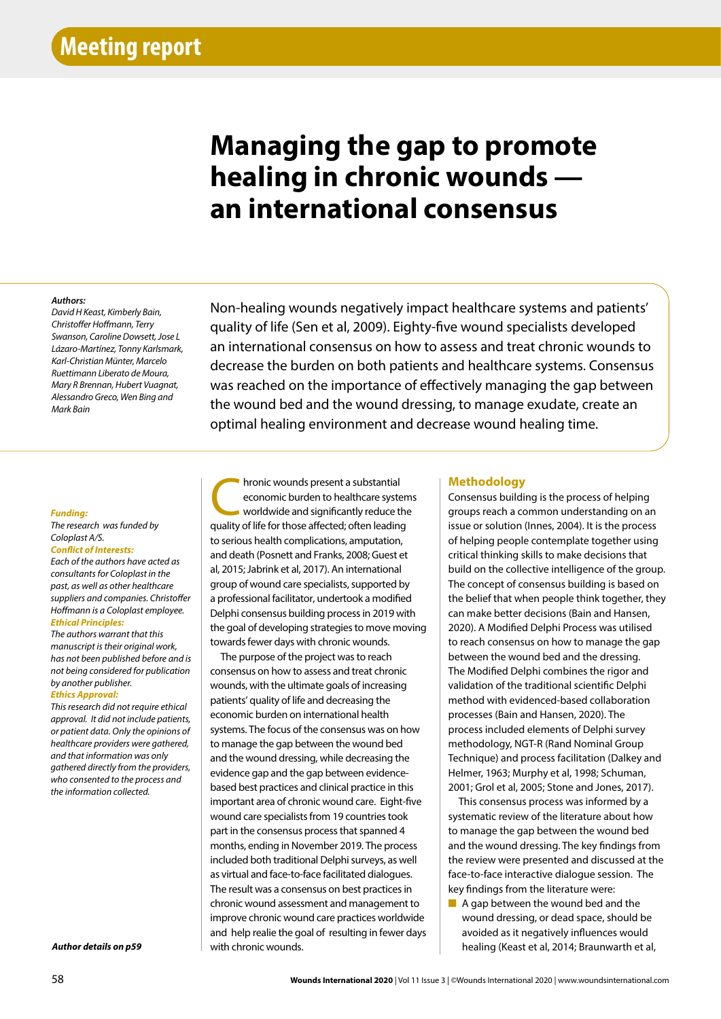# **Managing the gap to promote healing in chronic wounds an international consensus**

## *Authors:*

*Authors: Authors: Mary R Brennan, Hubert Vuagnat,* Alessandro Greco, Wen Bing and *David H Keast, Kimberly Bain, Christoffer Hoffmann, Terry Swanson, Caroline Dowsett, Jose L Lázaro-Martínez, Tonny Karlsmark, Karl-Christian Münter, Marcelo Ruettimann Liberato de Moura, Mark Bain*

Non-healing wounds negatively impact healthcare systems and patients' quality of life (Sen et al, 2009). Eighty-five wound specialists developed an international consensus on how to assess and treat chronic wounds to decrease the burden on both patients and healthcare systems. Consensus was reached on the importance of effectively managing the gap between the wound bed and the wound dressing, to manage exudate, create an optimal healing environment and decrease wound healing time.

#### *Funding:*

## *The research was funded by Coloplast A/S.*

## *Conflict of Interests:*

*Each of the authors have acted as consultants for Coloplast in the past, as well as other healthcare suppliers and companies. Christoffer Hoffmann is a Coloplast employee.*

## *Ethical Principles:*

*The authors warrant that this manuscript is their original work, has not been published before and is not being considered for publication by another publisher.*

## *Ethics Approval:*

*This research did not require ethical approval. It did not include patients, or patient data. Only the opinions of healthcare providers were gathered, and that information was only gathered directly from the providers, who consented to the process and the information collected.*

*Author details on p59*

Thronic wounds present a substantial<br>
economic burden to healthcare system<br>
worldwide and significantly reduce the<br>
straight of life for those affected: often loading economic burden to healthcare systems worldwide and significantly reduce the quality of life for those affected; often leading to serious health complications, amputation, and death (Posnett and Franks, 2008; Guest et al, 2015; Jabrink et al, 2017). An international group of wound care specialists, supported by a professional facilitator, undertook a modified Delphi consensus building process in 2019 with the goal of developing strategies to move moving towards fewer days with chronic wounds.

The purpose of the project was to reach consensus on how to assess and treat chronic wounds, with the ultimate goals of increasing patients' quality of life and decreasing the economic burden on international health systems. The focus of the consensus was on how to manage the gap between the wound bed and the wound dressing, while decreasing the evidence gap and the gap between evidencebased best practices and clinical practice in this important area of chronic wound care. Eight-five wound care specialists from 19 countries took part in the consensus process that spanned 4 months, ending in November 2019. The process included both traditional Delphi surveys, as well as virtual and face-to-face facilitated dialogues. The result was a consensus on best practices in chronic wound assessment and management to improve chronic wound care practices worldwide and help realie the goal of resulting in fewer days with chronic wounds.

## **Methodology**

Consensus building is the process of helping groups reach a common understanding on an issue or solution (Innes, 2004). It is the process of helping people contemplate together using critical thinking skills to make decisions that build on the collective intelligence of the group. The concept of consensus building is based on the belief that when people think together, they can make better decisions (Bain and Hansen, 2020). A Modified Delphi Process was utilised to reach consensus on how to manage the gap between the wound bed and the dressing. The Modified Delphi combines the rigor and validation of the traditional scientific Delphi method with evidenced-based collaboration processes (Bain and Hansen, 2020). The process included elements of Delphi survey methodology, NGT-R (Rand Nominal Group Technique) and process facilitation (Dalkey and Helmer, 1963; Murphy et al, 1998; Schuman, 2001; Grol et al, 2005; Stone and Jones, 2017).

This consensus process was informed by a systematic review of the literature about how to manage the gap between the wound bed and the wound dressing. The key findings from the review were presented and discussed at the face-to-face interactive dialogue session. The key findings from the literature were:

■ A gap between the wound bed and the wound dressing, or dead space, should be avoided as it negatively influences would healing (Keast et al, 2014; Braunwarth et al,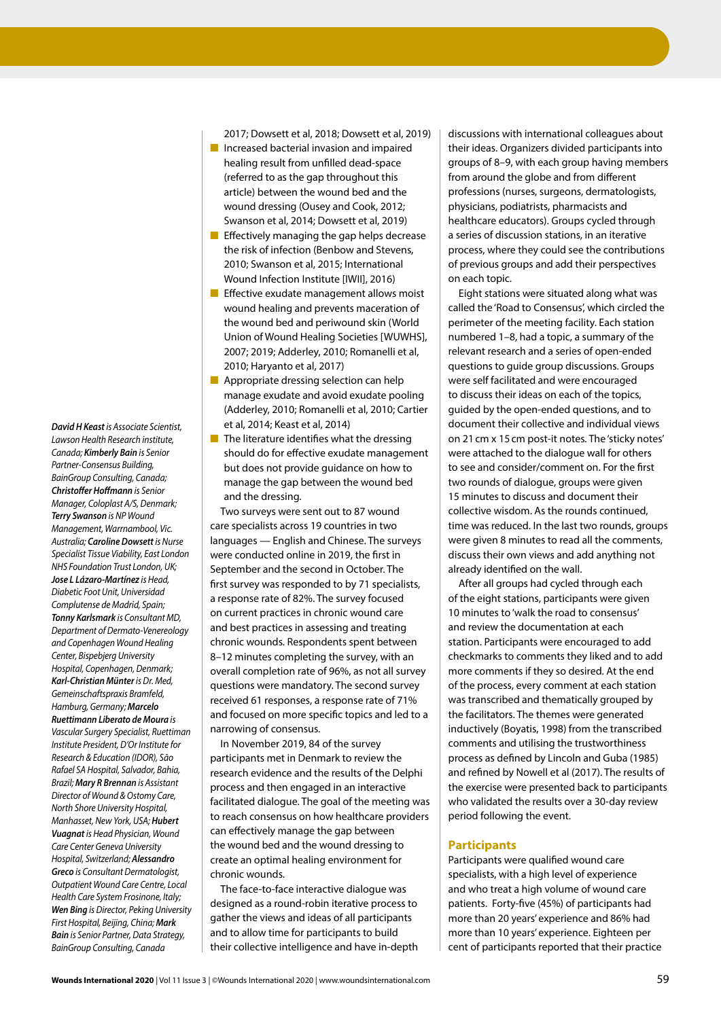*David H Keast is Associate Scientist, Lawson Health Research institute, Canada; Kimberly Bain is Senior Partner-Consensus Building, BainGroup Consulting, Canada; Christoffer Hoffmann is Senior Manager, Coloplast A/S, Denmark; Terry Swanson is NP Wound Management, Warrnambool, Vic. Australia; Caroline Dowsett is Nurse Specialist Tissue Viability, East London NHS Foundation Trust London, UK; Jose L Lázaro-Martínez is Head, Diabetic Foot Unit, Universidad Complutense de Madrid, Spain; Tonny Karlsmark is Consultant MD, Department of Dermato-Venereology and Copenhagen Wound Healing Center, Bispebjerg University Hospital, Copenhagen, Denmark; Karl-Christian Münter is Dr. Med, Gemeinschaftspraxis Bramfeld, Hamburg, Germany; Marcelo Ruettimann Liberato de Moura is Vascular Surgery Specialist, Ruettiman Institute President, D'Or Institute for Research & Education (IDOR), São Rafael SA Hospital, Salvador, Bahia, Brazil; Mary R Brennan is Assistant Director of Wound & Ostomy Care, North Shore University Hospital, Manhasset, New York, USA; Hubert Vuagnat is Head Physician, Wound Care Center Geneva University Hospital, Switzerland; Alessandro Greco is Consultant Dermatologist, Outpatient Wound Care Centre, Local Health Care System Frosinone, Italy; Wen Bing is Director, Peking University First Hospital, Beijing, China; Mark Bain is Senior Partner, Data Strategy, BainGroup Consulting, Canada*

2017; Dowsett et al, 2018; Dowsett et al, 2019)

- Increased bacterial invasion and impaired healing result from unfilled dead-space (referred to as the gap throughout this article) between the wound bed and the wound dressing (Ousey and Cook, 2012; Swanson et al, 2014; Dowsett et al, 2019)
- Effectively managing the gap helps decrease the risk of infection (Benbow and Stevens, 2010; Swanson et al, 2015; International Wound Infection Institute [IWII], 2016)
- Effective exudate management allows moist wound healing and prevents maceration of the wound bed and periwound skin (World Union of Wound Healing Societies [WUWHS], 2007; 2019; Adderley, 2010; Romanelli et al, 2010; Haryanto et al, 2017)
- Appropriate dressing selection can help manage exudate and avoid exudate pooling (Adderley, 2010; Romanelli et al, 2010; Cartier et al, 2014; Keast et al, 2014)
- The literature identifies what the dressing should do for effective exudate management but does not provide guidance on how to manage the gap between the wound bed and the dressing.

Two surveys were sent out to 87 wound care specialists across 19 countries in two languages — English and Chinese. The surveys were conducted online in 2019, the first in September and the second in October. The first survey was responded to by 71 specialists, a response rate of 82%. The survey focused on current practices in chronic wound care and best practices in assessing and treating chronic wounds. Respondents spent between 8–12 minutes completing the survey, with an overall completion rate of 96%, as not all survey questions were mandatory. The second survey received 61 responses, a response rate of 71% and focused on more specific topics and led to a narrowing of consensus.

In November 2019, 84 of the survey participants met in Denmark to review the research evidence and the results of the Delphi process and then engaged in an interactive facilitated dialogue. The goal of the meeting was to reach consensus on how healthcare providers can effectively manage the gap between the wound bed and the wound dressing to create an optimal healing environment for chronic wounds.

The face-to-face interactive dialogue was designed as a round-robin iterative process to gather the views and ideas of all participants and to allow time for participants to build their collective intelligence and have in-depth discussions with international colleagues about their ideas. Organizers divided participants into groups of 8–9, with each group having members from around the globe and from different professions (nurses, surgeons, dermatologists, physicians, podiatrists, pharmacists and healthcare educators). Groups cycled through a series of discussion stations, in an iterative process, where they could see the contributions of previous groups and add their perspectives on each topic.

Eight stations were situated along what was called the 'Road to Consensus', which circled the perimeter of the meeting facility. Each station numbered 1–8, had a topic, a summary of the relevant research and a series of open-ended questions to guide group discussions. Groups were self facilitated and were encouraged to discuss their ideas on each of the topics, guided by the open-ended questions, and to document their collective and individual views on 21cm x 15cm post-it notes. The 'sticky notes' were attached to the dialogue wall for others to see and consider/comment on. For the first two rounds of dialogue, groups were given 15 minutes to discuss and document their collective wisdom. As the rounds continued, time was reduced. In the last two rounds, groups were given 8 minutes to read all the comments, discuss their own views and add anything not already identified on the wall.

After all groups had cycled through each of the eight stations, participants were given 10 minutes to 'walk the road to consensus' and review the documentation at each station. Participants were encouraged to add checkmarks to comments they liked and to add more comments if they so desired. At the end of the process, every comment at each station was transcribed and thematically grouped by the facilitators. The themes were generated inductively (Boyatis, 1998) from the transcribed comments and utilising the trustworthiness process as defined by Lincoln and Guba (1985) and refined by Nowell et al (2017). The results of the exercise were presented back to participants who validated the results over a 30-day review period following the event.

## **Participants**

Participants were qualified wound care specialists, with a high level of experience and who treat a high volume of wound care patients. Forty-five (45%) of participants had more than 20 years' experience and 86% had more than 10 years' experience. Eighteen per cent of participants reported that their practice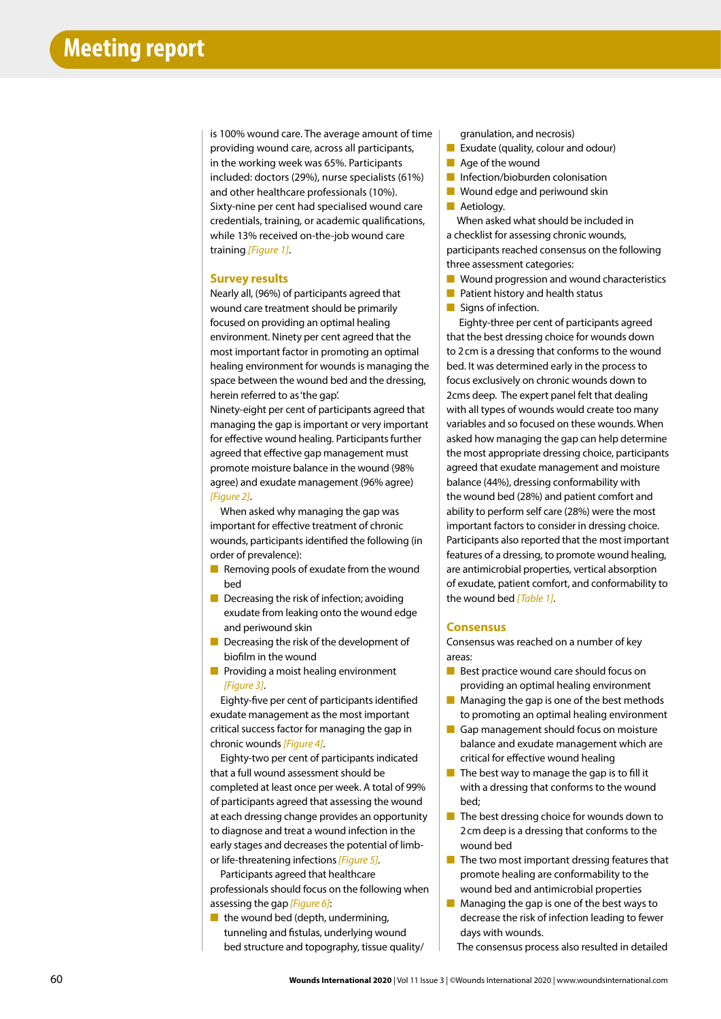is 100% wound care. The average amount of time providing wound care, across all participants, in the working week was 65%. Participants included: doctors (29%), nurse specialists (61%) and other healthcare professionals (10%). Sixty-nine per cent had specialised wound care credentials, training, or academic qualifications, while 13% received on-the-job wound care training *[Figure 1]*.

#### **Survey results**

Nearly all, (96%) of participants agreed that wound care treatment should be primarily focused on providing an optimal healing environment. Ninety per cent agreed that the most important factor in promoting an optimal healing environment for wounds is managing the space between the wound bed and the dressing, herein referred to as 'the gap'.

Ninety-eight per cent of participants agreed that managing the gap is important or very important for effective wound healing. Participants further agreed that effective gap management must promote moisture balance in the wound (98% agree) and exudate management (96% agree) *[Figure 2]*.

When asked why managing the gap was important for effective treatment of chronic wounds, participants identified the following (in order of prevalence):

- Removing pools of exudate from the wound bed
- Decreasing the risk of infection; avoiding exudate from leaking onto the wound edge and periwound skin
- Decreasing the risk of the development of biofilm in the wound
- Providing a moist healing environment *[Figure 3]*.

Eighty-five per cent of participants identified exudate management as the most important critical success factor for managing the gap in chronic wounds *[Figure 4]*.

Eighty-two per cent of participants indicated that a full wound assessment should be completed at least once per week. A total of 99% of participants agreed that assessing the wound at each dressing change provides an opportunity to diagnose and treat a wound infection in the early stages and decreases the potential of limbor life-threatening infections *[Figure 5]*.

Participants agreed that healthcare professionals should focus on the following when assessing the gap *[Figure 6]*:

 $\blacksquare$  the wound bed (depth, undermining, tunneling and fistulas, underlying wound bed structure and topography, tissue quality/ granulation, and necrosis)

- Exudate (quality, colour and odour)
- Age of the wound
- Infection/bioburden colonisation
- Wound edge and periwound skin
- Aetiology.

When asked what should be included in a checklist for assessing chronic wounds, participants reached consensus on the following three assessment categories:

- Wound progression and wound characteristics
- Patient history and health status
- Signs of infection.

 Eighty-three per cent of participants agreed that the best dressing choice for wounds down to 2cm is a dressing that conforms to the wound bed. It was determined early in the process to focus exclusively on chronic wounds down to 2cms deep. The expert panel felt that dealing with all types of wounds would create too many variables and so focused on these wounds. When asked how managing the gap can help determine the most appropriate dressing choice, participants agreed that exudate management and moisture balance (44%), dressing conformability with the wound bed (28%) and patient comfort and ability to perform self care (28%) were the most important factors to consider in dressing choice. Participants also reported that the most important features of a dressing, to promote wound healing, are antimicrobial properties, vertical absorption of exudate, patient comfort, and conformability to the wound bed *[Table 1]*.

## **Consensus**

Consensus was reached on a number of key areas:

- Best practice wound care should focus on providing an optimal healing environment
- Managing the gap is one of the best methods to promoting an optimal healing environment
- Gap management should focus on moisture balance and exudate management which are critical for effective wound healing
- The best way to manage the gap is to fill it with a dressing that conforms to the wound bed;
- The best dressing choice for wounds down to 2cm deep is a dressing that conforms to the wound bed
- The two most important dressing features that promote healing are conformability to the wound bed and antimicrobial properties
- Managing the gap is one of the best ways to decrease the risk of infection leading to fewer days with wounds.
	- The consensus process also resulted in detailed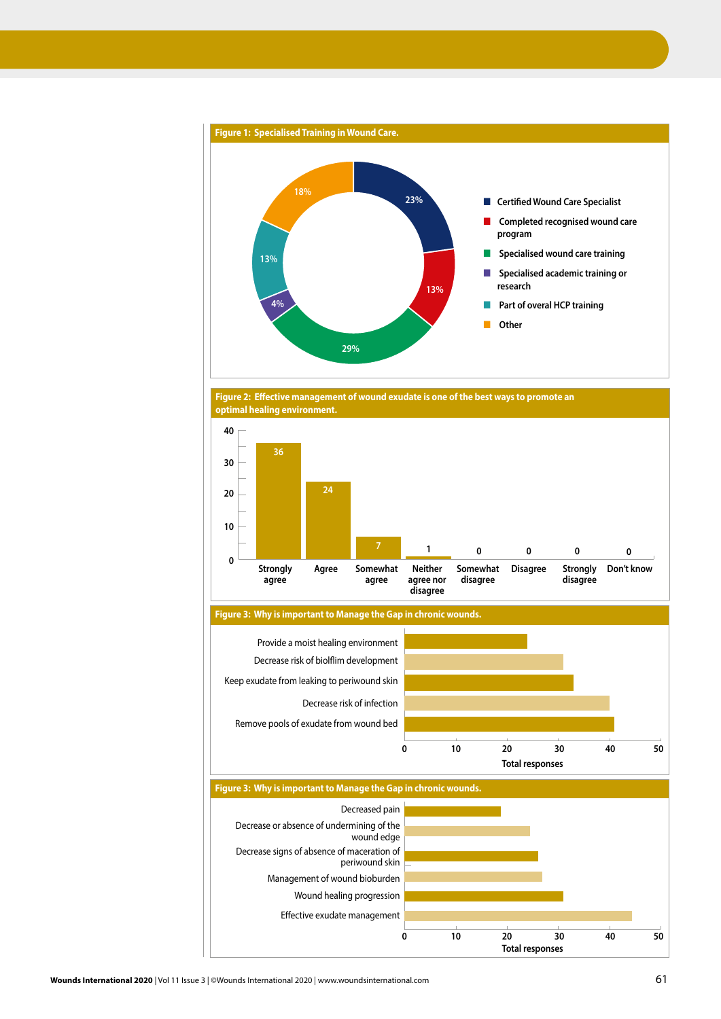

**Figure 2: Effective management of wound exudate is one of the best ways to promote an optimal healing environment.**



**Figure 3: Why is important to Manage the Gap in chronic wounds.**



**Figure 3: Why is important to Manage the Gap in chronic wounds.** Decreased pain Decrease or absence of undermining of the wound edge Decrease signs of absence of maceration of periwound skin Management of wound bioburden Wound healing progression Effective exudate management **Total responses**

**10**

**Total responses**

**30**

**40**

**20**

**0**

**50**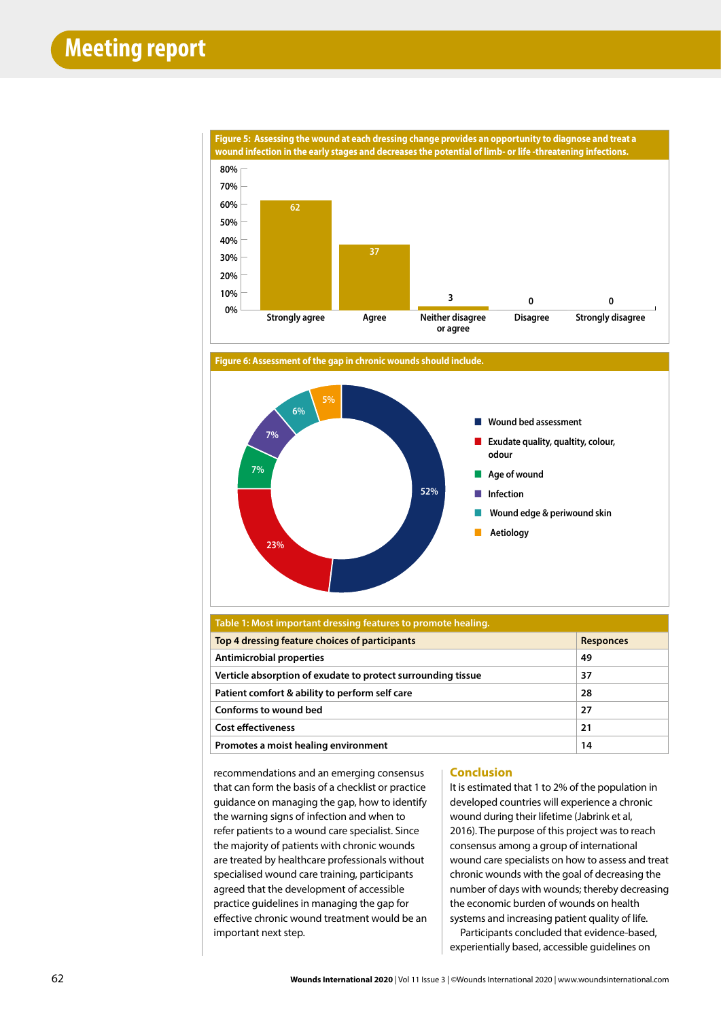





| Table 1: Most important dressing features to promote healing. |                  |
|---------------------------------------------------------------|------------------|
| Top 4 dressing feature choices of participants                | <b>Responces</b> |
| <b>Antimicrobial properties</b>                               | 49               |
| Verticle absorption of exudate to protect surrounding tissue  | 37               |
| Patient comfort & ability to perform self care                | 28               |
| Conforms to wound bed                                         | 27               |
| <b>Cost effectiveness</b>                                     | 21               |
| Promotes a moist healing environment                          | 14               |

recommendations and an emerging consensus that can form the basis of a checklist or practice guidance on managing the gap, how to identify the warning signs of infection and when to refer patients to a wound care specialist. Since the majority of patients with chronic wounds are treated by healthcare professionals without specialised wound care training, participants agreed that the development of accessible practice guidelines in managing the gap for effective chronic wound treatment would be an important next step.

## **Conclusion**

It is estimated that 1 to 2% of the population in developed countries will experience a chronic wound during their lifetime (Jabrink et al, 2016). The purpose of this project was to reach consensus among a group of international wound care specialists on how to assess and treat chronic wounds with the goal of decreasing the number of days with wounds; thereby decreasing the economic burden of wounds on health systems and increasing patient quality of life.

Participants concluded that evidence-based, experientially based, accessible guidelines on